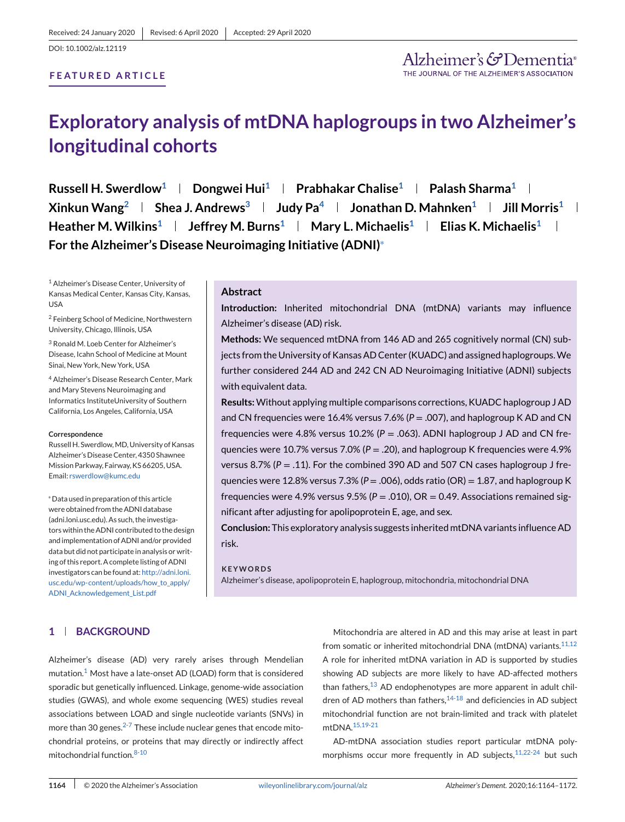DOI: 10.1002/alz.12119

### **FEATURED ARTICLE**

# **Exploratory analysis of mtDNA haplogroups in two Alzheimer's longitudinal cohorts**

**Russell H. Swerdlow<sup>1</sup> | Dongwei Hui<sup>1</sup> | Prabhakar Chalise<sup>1</sup> | Palash Sharma<sup>1</sup> |**  $Xinkun Wang<sup>2</sup>$  | Shea J. Andrews<sup>3</sup> | Judy Pa<sup>4</sup> | Jonathan D. Mahnken<sup>1</sup> | Jill Morris<sup>1</sup> | **Heather M. Wilkins1 Jeffrey M. Burns1 Mary L. Michaelis1 Elias K. Michaelis1 For the Alzheimer's Disease Neuroimaging Initiative (ADNI)**<sup>∗</sup>

<sup>1</sup> Alzheimer's Disease Center, University of Kansas Medical Center, Kansas City, Kansas, USA

<sup>2</sup> Feinberg School of Medicine, Northwestern University, Chicago, Illinois, USA

<sup>3</sup> Ronald M. Loeb Center for Alzheimer's Disease, Icahn School of Medicine at Mount Sinai, New York, New York, USA

<sup>4</sup> Alzheimer's Disease Research Center, Mark and Mary Stevens Neuroimaging and Informatics InstituteUniversity of Southern California, Los Angeles, California, USA

#### **Correspondence**

Russell H. Swerdlow,MD, University of Kansas Alzheimer's Disease Center, 4350 Shawnee Mission Parkway, Fairway, KS 66205, USA. Email: [rswerdlow@kumc.edu](mailto:rswerdlow@kumc.edu)

<sup>∗</sup>Data used in preparation of this article were obtained from the ADNI database (adni.loni.usc.edu). As such, the investigators within the ADNI contributed to the design and implementation of ADNI and/or provided data but did not participate in analysis or writing of this report. A complete listing of ADNI investigators can be found at: [http://adni.loni.](http://adni.loni.usc.edu/wp-content/uploads/how_to_apply/ADNI_Acknowledgement_List.pdf) [usc.edu/wp-content/uploads/how\\_to\\_apply/](http://adni.loni.usc.edu/wp-content/uploads/how_to_apply/ADNI_Acknowledgement_List.pdf) [ADNI\\_Acknowledgement\\_List.pdf](http://adni.loni.usc.edu/wp-content/uploads/how_to_apply/ADNI_Acknowledgement_List.pdf)

#### **Abstract**

**Introduction:** Inherited mitochondrial DNA (mtDNA) variants may influence Alzheimer's disease (AD) risk.

**Methods:** We sequenced mtDNA from 146 AD and 265 cognitively normal (CN) subjects from the University of Kansas AD Center (KUADC) and assigned haplogroups.We further considered 244 AD and 242 CN AD Neuroimaging Initiative (ADNI) subjects with equivalent data.

**Results:**Without applying multiple comparisons corrections, KUADC haplogroup J AD and CN frequencies were 16.4% versus 7.6%  $(P = .007)$ , and haplogroup K AD and CN frequencies were 4.8% versus 10.2% (*P* = .063). ADNI haplogroup J AD and CN frequencies were 10.7% versus 7.0% (*P* = .20), and haplogroup K frequencies were 4.9% versus 8.7% (*P* = .11). For the combined 390 AD and 507 CN cases haplogroup J frequencies were 12.8% versus 7.3% ( $P = 0.006$ ), odds ratio (OR) = 1.87, and haplogroup K frequencies were 4.9% versus 9.5% ( $P = .010$ ),  $OR = 0.49$ . Associations remained significant after adjusting for apolipoprotein E, age, and sex.

**Conclusion:** This exploratory analysis suggests inherited mtDNA variants influence AD risk.

**KEYWORDS** Alzheimer's disease, apolipoprotein E, haplogroup, mitochondria, mitochondrial DNA

# **1 BACKGROUND**

Alzheimer's disease (AD) very rarely arises through Mendelian mutation.<sup>1</sup> Most have a late-onset AD (LOAD) form that is considered sporadic but genetically influenced. Linkage, genome-wide association studies (GWAS), and whole exome sequencing (WES) studies reveal associations between LOAD and single nucleotide variants (SNVs) in more than 30 genes.<sup>2-7</sup> These include nuclear genes that encode mitochondrial proteins, or proteins that may directly or indirectly affect mitochondrial function.8-10

Mitochondria are altered in AD and this may arise at least in part from somatic or inherited mitochondrial DNA (mtDNA) variants. $11,12$ A role for inherited mtDNA variation in AD is supported by studies showing AD subjects are more likely to have AD-affected mothers than fathers, $^{13}$  AD endophenotypes are more apparent in adult children of AD mothers than fathers, $14-18$  and deficiencies in AD subject mitochondrial function are not brain-limited and track with platelet mtDNA.15,19-21

AD-mtDNA association studies report particular mtDNA polymorphisms occur more frequently in AD subjects, 11,22-24 but such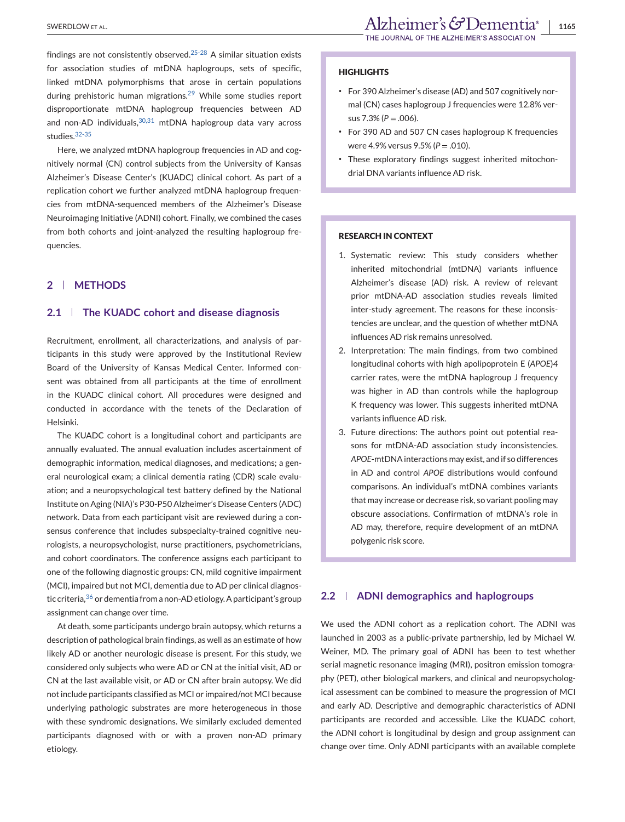findings are not consistently observed.<sup>25-28</sup> A similar situation exists for association studies of mtDNA haplogroups, sets of specific, linked mtDNA polymorphisms that arose in certain populations during prehistoric human migrations.<sup>29</sup> While some studies report disproportionate mtDNA haplogroup frequencies between AD and non-AD individuals,  $30,31$  mtDNA haplogroup data vary across studies.32-35

Here, we analyzed mtDNA haplogroup frequencies in AD and cognitively normal (CN) control subjects from the University of Kansas Alzheimer's Disease Center's (KUADC) clinical cohort. As part of a replication cohort we further analyzed mtDNA haplogroup frequencies from mtDNA-sequenced members of the Alzheimer's Disease Neuroimaging Initiative (ADNI) cohort. Finally, we combined the cases from both cohorts and joint-analyzed the resulting haplogroup frequencies.

# **2 METHODS**

# **2.1 The KUADC cohort and disease diagnosis**

Recruitment, enrollment, all characterizations, and analysis of participants in this study were approved by the Institutional Review Board of the University of Kansas Medical Center. Informed consent was obtained from all participants at the time of enrollment in the KUADC clinical cohort. All procedures were designed and conducted in accordance with the tenets of the Declaration of Helsinki.

The KUADC cohort is a longitudinal cohort and participants are annually evaluated. The annual evaluation includes ascertainment of demographic information, medical diagnoses, and medications; a general neurological exam; a clinical dementia rating (CDR) scale evaluation; and a neuropsychological test battery defined by the National Institute on Aging (NIA)'s P30-P50 Alzheimer's Disease Centers (ADC) network. Data from each participant visit are reviewed during a consensus conference that includes subspecialty-trained cognitive neurologists, a neuropsychologist, nurse practitioners, psychometricians, and cohort coordinators. The conference assigns each participant to one of the following diagnostic groups: CN, mild cognitive impairment (MCI), impaired but not MCI, dementia due to AD per clinical diagnostic criteria, <sup>36</sup> or dementia from a non-AD etiology. A participant's group assignment can change over time.

At death, some participants undergo brain autopsy, which returns a description of pathological brain findings, as well as an estimate of how likely AD or another neurologic disease is present. For this study, we considered only subjects who were AD or CN at the initial visit, AD or CN at the last available visit, or AD or CN after brain autopsy. We did not include participants classified as MCI or impaired/not MCI because underlying pathologic substrates are more heterogeneous in those with these syndromic designations. We similarly excluded demented participants diagnosed with or with a proven non-AD primary etiology.

#### **HIGHLIGHTS**

- ∙ For 390 Alzheimer's disease (AD) and 507 cognitively normal (CN) cases haplogroup J frequencies were 12.8% versus 7.3% (*P* = .006).
- ∙ For 390 AD and 507 CN cases haplogroup K frequencies were 4.9% versus 9.5% (*P* = .010).
- ∙ These exploratory findings suggest inherited mitochondrial DNA variants influence AD risk.

### **RESEARCH IN CONTEXT**

- 1. Systematic review: This study considers whether inherited mitochondrial (mtDNA) variants influence Alzheimer's disease (AD) risk. A review of relevant prior mtDNA-AD association studies reveals limited inter-study agreement. The reasons for these inconsistencies are unclear, and the question of whether mtDNA influences AD risk remains unresolved.
- 2. Interpretation: The main findings, from two combined longitudinal cohorts with high apolipoprotein E (*APOE*)*4* carrier rates, were the mtDNA haplogroup J frequency was higher in AD than controls while the haplogroup K frequency was lower. This suggests inherited mtDNA variants influence AD risk.
- 3. Future directions: The authors point out potential reasons for mtDNA-AD association study inconsistencies. *APOE*-mtDNA interactions may exist, and if so differences in AD and control *APOE* distributions would confound comparisons. An individual's mtDNA combines variants that may increase or decrease risk, so variant pooling may obscure associations. Confirmation of mtDNA's role in AD may, therefore, require development of an mtDNA polygenic risk score.

# **2.2 ADNI demographics and haplogroups**

We used the ADNI cohort as a replication cohort. The ADNI was launched in 2003 as a public-private partnership, led by Michael W. Weiner, MD. The primary goal of ADNI has been to test whether serial magnetic resonance imaging (MRI), positron emission tomography (PET), other biological markers, and clinical and neuropsychological assessment can be combined to measure the progression of MCI and early AD. Descriptive and demographic characteristics of ADNI participants are recorded and accessible. Like the KUADC cohort, the ADNI cohort is longitudinal by design and group assignment can change over time. Only ADNI participants with an available complete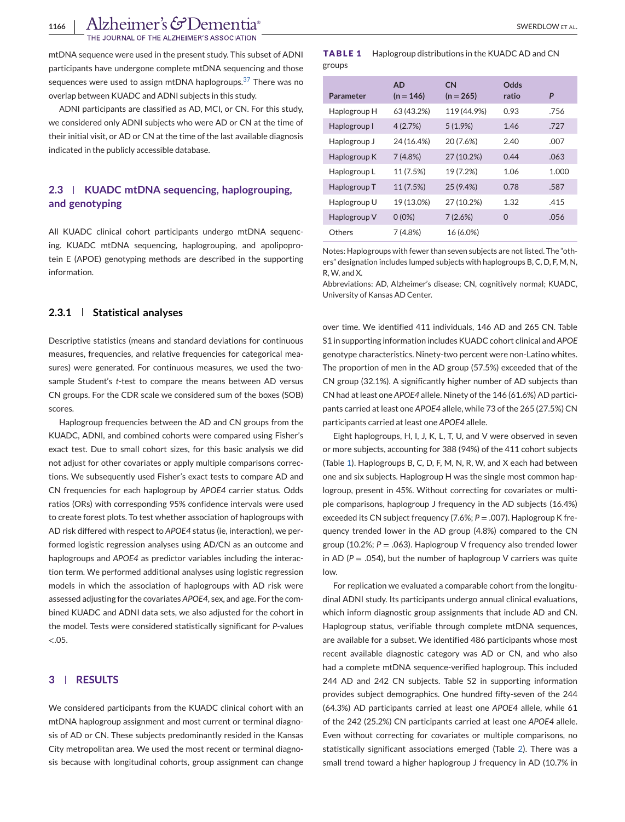THE JOURNAL OF THE ALZHEIMER'S ASSOCIATION

mtDNA sequence were used in the present study. This subset of ADNI participants have undergone complete mtDNA sequencing and those sequences were used to assign mtDNA haplogroups.<sup>37</sup> There was no overlap between KUADC and ADNI subjects in this study.

ADNI participants are classified as AD, MCI, or CN. For this study, we considered only ADNI subjects who were AD or CN at the time of their initial visit, or AD or CN at the time of the last available diagnosis indicated in the publicly accessible database.

# **2.3 KUADC mtDNA sequencing, haplogrouping, and genotyping**

All KUADC clinical cohort participants undergo mtDNA sequencing. KUADC mtDNA sequencing, haplogrouping, and apolipoprotein E (APOE) genotyping methods are described in the supporting information.

# **2.3.1 Statistical analyses**

Descriptive statistics (means and standard deviations for continuous measures, frequencies, and relative frequencies for categorical measures) were generated. For continuous measures, we used the twosample Student's *t*-test to compare the means between AD versus CN groups. For the CDR scale we considered sum of the boxes (SOB) scores.

Haplogroup frequencies between the AD and CN groups from the KUADC, ADNI, and combined cohorts were compared using Fisher's exact test. Due to small cohort sizes, for this basic analysis we did not adjust for other covariates or apply multiple comparisons corrections. We subsequently used Fisher's exact tests to compare AD and CN frequencies for each haplogroup by *APOE4* carrier status. Odds ratios (ORs) with corresponding 95% confidence intervals were used to create forest plots. To test whether association of haplogroups with AD risk differed with respect to *APOE4* status (ie, interaction), we performed logistic regression analyses using AD/CN as an outcome and haplogroups and *APOE4* as predictor variables including the interaction term. We performed additional analyses using logistic regression models in which the association of haplogroups with AD risk were assessed adjusting for the covariates *APOE4*, sex, and age. For the combined KUADC and ADNI data sets, we also adjusted for the cohort in the model. Tests were considered statistically significant for *P*-values  $< .05.$ 

# **3 RESULTS**

We considered participants from the KUADC clinical cohort with an mtDNA haplogroup assignment and most current or terminal diagnosis of AD or CN. These subjects predominantly resided in the Kansas City metropolitan area. We used the most recent or terminal diagnosis because with longitudinal cohorts, group assignment can change

#### **TABLE 1** Haplogroup distributions in the KUADC AD and CN groups

|              | <b>AD</b>   | <b>CN</b>   | <b>Odds</b> |       |
|--------------|-------------|-------------|-------------|-------|
| Parameter    | $(n = 146)$ | $(n = 265)$ | ratio       | P     |
| Haplogroup H | 63 (43.2%)  | 119 (44.9%) | 0.93        | .756  |
| Haplogroup I | 4(2.7%)     | 5(1.9%)     | 1.46        | .727  |
| Haplogroup J | 24 (16.4%)  | 20 (7.6%)   | 2.40        | .007  |
| Haplogroup K | 7(4.8%)     | 27 (10.2%)  | 0.44        | .063  |
| Haplogroup L | 11 (7.5%)   | 19 (7.2%)   | 1.06        | 1.000 |
| Haplogroup T | 11 (7.5%)   | 25 (9.4%)   | 0.78        | .587  |
| Haplogroup U | 19 (13.0%)  | 27 (10.2%)  | 1.32        | .415  |
| Haplogroup V | $0(0\%)$    | 7(2.6%)     | $\Omega$    | .056  |
| Others       | 7(4.8%)     | 16 (6.0%)   |             |       |

Notes: Haplogroups with fewer than seven subjects are not listed. The "others" designation includes lumped subjects with haplogroups B, C, D, F, M, N, R, W, and X.

Abbreviations: AD, Alzheimer's disease; CN, cognitively normal; KUADC, University of Kansas AD Center.

over time. We identified 411 individuals, 146 AD and 265 CN. Table S1 in supporting information includes KUADC cohort clinical and *APOE* genotype characteristics. Ninety-two percent were non-Latino whites. The proportion of men in the AD group (57.5%) exceeded that of the CN group (32.1%). A significantly higher number of AD subjects than CN had at least one *APOE4* allele. Ninety of the 146 (61.6%) AD participants carried at least one *APOE4* allele, while 73 of the 265 (27.5%) CN participants carried at least one *APOE4* allele.

Eight haplogroups, H, I, J, K, L, T, U, and V were observed in seven or more subjects, accounting for 388 (94%) of the 411 cohort subjects (Table 1). Haplogroups B, C, D, F, M, N, R, W, and X each had between one and six subjects. Haplogroup H was the single most common haplogroup, present in 45%. Without correcting for covariates or multiple comparisons, haplogroup J frequency in the AD subjects (16.4%) exceeded its CN subject frequency (7.6%; *P* = .007). Haplogroup K frequency trended lower in the AD group (4.8%) compared to the CN group (10.2%; *P* = .063). Haplogroup V frequency also trended lower in AD ( $P = .054$ ), but the number of haplogroup V carriers was quite low.

For replication we evaluated a comparable cohort from the longitudinal ADNI study. Its participants undergo annual clinical evaluations, which inform diagnostic group assignments that include AD and CN. Haplogroup status, verifiable through complete mtDNA sequences, are available for a subset. We identified 486 participants whose most recent available diagnostic category was AD or CN, and who also had a complete mtDNA sequence-verified haplogroup. This included 244 AD and 242 CN subjects. Table S2 in supporting information provides subject demographics. One hundred fifty-seven of the 244 (64.3%) AD participants carried at least one *APOE4* allele, while 61 of the 242 (25.2%) CN participants carried at least one *APOE4* allele. Even without correcting for covariates or multiple comparisons, no statistically significant associations emerged (Table [2\)](#page-3-0). There was a small trend toward a higher haplogroup J frequency in AD (10.7% in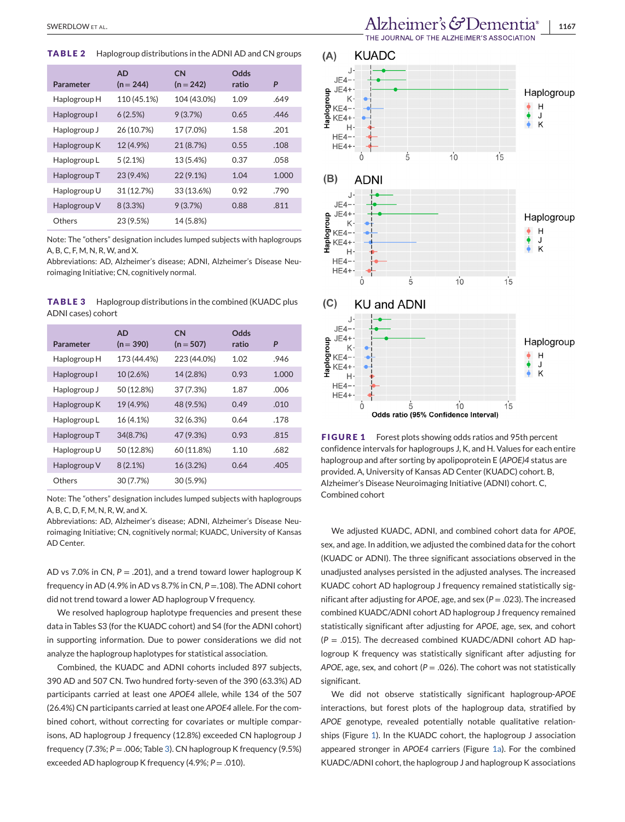<span id="page-3-0"></span>**TABLE 2** Haplogroup distributions in the ADNI AD and CN groups

| Parameter    | <b>AD</b><br>$(n = 244)$ | <b>CN</b><br>$(n = 242)$ | Odds<br>ratio | P     |
|--------------|--------------------------|--------------------------|---------------|-------|
| Haplogroup H | 110 (45.1%)              | 104 (43.0%)              | 1.09          | .649  |
| Haplogroup I | 6(2.5%)                  | 9(3.7%)                  | 0.65          | .446  |
| Haplogroup J | 26 (10.7%)               | 17 (7.0%)                | 1.58          | .201  |
| Haplogroup K | 12 (4.9%)                | 21 (8.7%)                | 0.55          | .108  |
| Haplogroup L | 5(2.1%)                  | 13 (5.4%)                | 0.37          | .058  |
| Haplogroup T | 23 (9.4%)                | $22(9.1\%)$              | 1.04          | 1.000 |
| Haplogroup U | 31 (12.7%)               | 33 (13.6%)               | 0.92          | .790  |
| Haplogroup V | 8(3.3%)                  | 9(3.7%)                  | 0.88          | .811  |
| Others       | 23 (9.5%)                | 14 (5.8%)                |               |       |

Note: The "others" designation includes lumped subjects with haplogroups A, B, C, F, M, N, R, W, and X.

Abbreviations: AD, Alzheimer's disease; ADNI, Alzheimer's Disease Neuroimaging Initiative; CN, cognitively normal.

**TABLE 3** Haplogroup distributions in the combined (KUADC plus ADNI cases) cohort

| Parameter    | <b>AD</b><br>$(n = 390)$ | <b>CN</b><br>$(n = 507)$ | Odds<br>ratio | P     |
|--------------|--------------------------|--------------------------|---------------|-------|
| Haplogroup H | 173 (44.4%)              | 223 (44.0%)              | 1.02          | .946  |
| Haplogroup I | 10 (2.6%)                | 14 (2.8%)                | 0.93          | 1.000 |
| Haplogroup J | 50 (12.8%)               | 37 (7.3%)                | 1.87          | .006  |
| Haplogroup K | 19 (4.9%)                | 48 (9.5%)                | 0.49          | .010  |
| Haplogroup L | 16 (4.1%)                | 32 (6.3%)                | 0.64          | .178  |
| Haplogroup T | 34(8.7%)                 | 47 (9.3%)                | 0.93          | .815  |
| Haplogroup U | 50 (12.8%)               | 60 (11.8%)               | 1.10          | .682  |
| Haplogroup V | $8(2.1\%)$               | 16 (3.2%)                | 0.64          | .405  |
| Others       | 30 (7.7%)                | 30 (5.9%)                |               |       |

Note: The "others" designation includes lumped subjects with haplogroups A, B, C, D, F, M, N, R, W, and X.

Abbreviations: AD, Alzheimer's disease; ADNI, Alzheimer's Disease Neuroimaging Initiative; CN, cognitively normal; KUADC, University of Kansas AD Center.

AD vs 7.0% in CN,  $P = .201$ ), and a trend toward lower haplogroup K frequency in AD (4.9% in AD vs 8.7% in CN, *P* =.108). The ADNI cohort did not trend toward a lower AD haplogroup V frequency.

We resolved haplogroup haplotype frequencies and present these data in Tables S3 (for the KUADC cohort) and S4 (for the ADNI cohort) in supporting information. Due to power considerations we did not analyze the haplogroup haplotypes for statistical association.

Combined, the KUADC and ADNI cohorts included 897 subjects, 390 AD and 507 CN. Two hundred forty-seven of the 390 (63.3%) AD participants carried at least one *APOE4* allele, while 134 of the 507 (26.4%) CN participants carried at least one *APOE4* allele. For the combined cohort, without correcting for covariates or multiple comparisons, AD haplogroup J frequency (12.8%) exceeded CN haplogroup J frequency (7.3%; *P* = .006; Table 3). CN haplogroup K frequency (9.5%) exceeded AD haplogroup K frequency (4.9%; *P* = .010).



**FIGURE 1** Forest plots showing odds ratios and 95th percent confidence intervals for haplogroups J, K, and H. Values for each entire haplogroup and after sorting by apolipoprotein E (*APOE)4* status are provided. A, University of Kansas AD Center (KUADC) cohort. B, Alzheimer's Disease Neuroimaging Initiative (ADNI) cohort. C, Combined cohort

We adjusted KUADC, ADNI, and combined cohort data for *APOE*, sex, and age. In addition, we adjusted the combined data for the cohort (KUADC or ADNI). The three significant associations observed in the unadjusted analyses persisted in the adjusted analyses. The increased KUADC cohort AD haplogroup J frequency remained statistically significant after adjusting for *APOE*, age, and sex (*P* = .023). The increased combined KUADC/ADNI cohort AD haplogroup J frequency remained statistically significant after adjusting for *APOE*, age, sex, and cohort (*P* = .015). The decreased combined KUADC/ADNI cohort AD haplogroup K frequency was statistically significant after adjusting for *APOE*, age, sex, and cohort ( $P = .026$ ). The cohort was not statistically significant.

We did not observe statistically significant haplogroup-*APOE* interactions, but forest plots of the haplogroup data, stratified by *APOE* genotype, revealed potentially notable qualitative relationships (Figure 1). In the KUADC cohort, the haplogroup J association appeared stronger in *APOE4* carriers (Figure 1a). For the combined KUADC/ADNI cohort, the haplogroup J and haplogroup K associations

THE JOURNAL OF THE ALZHEIMER'S ASSOCIATION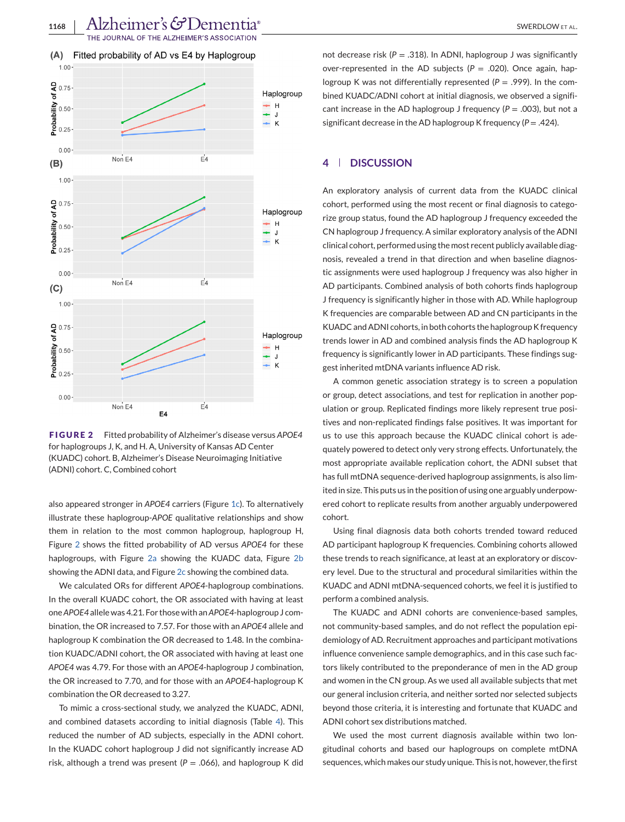<span id="page-4-0"></span>

**FIGURE 2** Fitted probability of Alzheimer's disease versus *APOE4* for haplogroups J, K, and H. A, University of Kansas AD Center (KUADC) cohort. B, Alzheimer's Disease Neuroimaging Initiative (ADNI) cohort. C, Combined cohort

also appeared stronger in *APOE4* carriers (Figure [1c\)](#page-3-0). To alternatively illustrate these haplogroup-*APOE* qualitative relationships and show them in relation to the most common haplogroup, haplogroup H, Figure 2 shows the fitted probability of AD versus *APOE4* for these haplogroups, with Figure 2a showing the KUADC data, Figure 2b showing the ADNI data, and Figure 2c showing the combined data.

We calculated ORs for different *APOE4*-haplogroup combinations. In the overall KUADC cohort, the OR associated with having at least one*APOE4* allele was 4.21. For those with an*APOE4*-haplogroup J combination, the OR increased to 7.57. For those with an *APOE4* allele and haplogroup K combination the OR decreased to 1.48. In the combination KUADC/ADNI cohort, the OR associated with having at least one *APOE4* was 4.79. For those with an *APOE4*-haplogroup J combination, the OR increased to 7.70, and for those with an *APOE4*-haplogroup K combination the OR decreased to 3.27.

To mimic a cross-sectional study, we analyzed the KUADC, ADNI, and combined datasets according to initial diagnosis (Table [4\)](#page-5-0). This reduced the number of AD subjects, especially in the ADNI cohort. In the KUADC cohort haplogroup J did not significantly increase AD risk, although a trend was present ( $P = .066$ ), and haplogroup K did not decrease risk ( $P = .318$ ). In ADNI, haplogroup J was significantly over-represented in the AD subjects  $(P = .020)$ . Once again, haplogroup K was not differentially represented  $(P = .999)$ . In the combined KUADC/ADNI cohort at initial diagnosis, we observed a significant increase in the AD haplogroup J frequency  $(P = .003)$ , but not a significant decrease in the AD haplogroup K frequency (*P* = .424).

# **4 DISCUSSION**

An exploratory analysis of current data from the KUADC clinical cohort, performed using the most recent or final diagnosis to categorize group status, found the AD haplogroup J frequency exceeded the CN haplogroup J frequency. A similar exploratory analysis of the ADNI clinical cohort, performed using the most recent publicly available diagnosis, revealed a trend in that direction and when baseline diagnostic assignments were used haplogroup J frequency was also higher in AD participants. Combined analysis of both cohorts finds haplogroup J frequency is significantly higher in those with AD. While haplogroup K frequencies are comparable between AD and CN participants in the KUADC and ADNI cohorts, in both cohorts the haplogroup K frequency trends lower in AD and combined analysis finds the AD haplogroup K frequency is significantly lower in AD participants. These findings suggest inherited mtDNA variants influence AD risk.

A common genetic association strategy is to screen a population or group, detect associations, and test for replication in another population or group. Replicated findings more likely represent true positives and non-replicated findings false positives. It was important for us to use this approach because the KUADC clinical cohort is adequately powered to detect only very strong effects. Unfortunately, the most appropriate available replication cohort, the ADNI subset that has full mtDNA sequence-derived haplogroup assignments, is also limited in size. This puts us in the position of using one arguably underpowered cohort to replicate results from another arguably underpowered cohort.

Using final diagnosis data both cohorts trended toward reduced AD participant haplogroup K frequencies. Combining cohorts allowed these trends to reach significance, at least at an exploratory or discovery level. Due to the structural and procedural similarities within the KUADC and ADNI mtDNA-sequenced cohorts, we feel it is justified to perform a combined analysis.

The KUADC and ADNI cohorts are convenience-based samples, not community-based samples, and do not reflect the population epidemiology of AD. Recruitment approaches and participant motivations influence convenience sample demographics, and in this case such factors likely contributed to the preponderance of men in the AD group and women in the CN group. As we used all available subjects that met our general inclusion criteria, and neither sorted nor selected subjects beyond those criteria, it is interesting and fortunate that KUADC and ADNI cohort sex distributions matched.

We used the most current diagnosis available within two longitudinal cohorts and based our haplogroups on complete mtDNA sequences, which makes our study unique. This is not, however, the first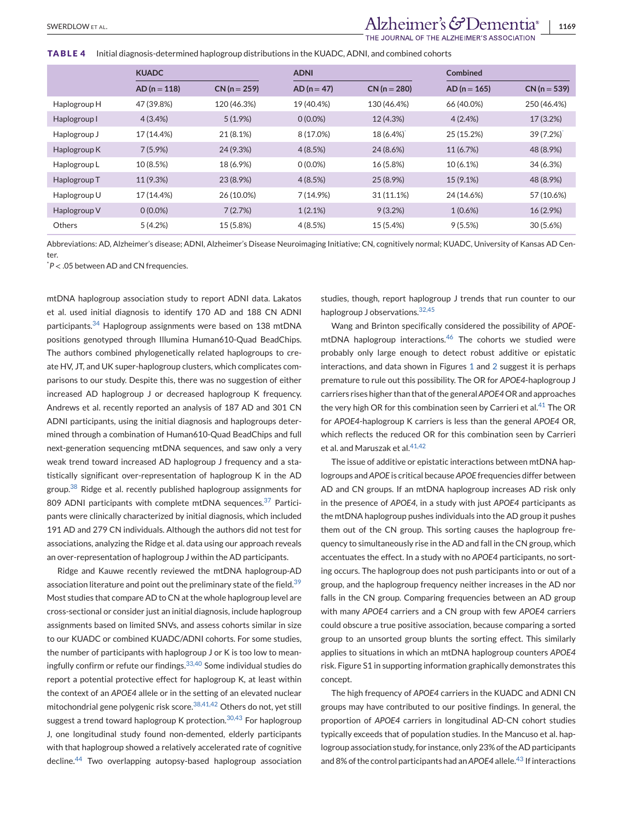# <span id="page-5-0"></span>SWERDLOWET AL. **1169** SWERDLOW ET AL. **1169**

HE JOURNAL OF THE ALZHEIMER'S ASSOCIATION

#### **TABLE 4** Initial diagnosis-determined haplogroup distributions in the KUADC, ADNI, and combined cohorts

|              | <b>KUADC</b>   |                | <b>ADNI</b>   |                | Combined       |                |
|--------------|----------------|----------------|---------------|----------------|----------------|----------------|
|              | $AD (n = 118)$ | $CN (n = 259)$ | $AD (n = 47)$ | $CN (n = 280)$ | $AD (n = 165)$ | $CN (n = 539)$ |
| Haplogroup H | 47 (39.8%)     | 120 (46.3%)    | 19 (40.4%)    | 130 (46.4%)    | 66 (40.0%)     | 250 (46.4%)    |
| Haplogroup I | 4(3.4% )       | $5(1.9\%)$     | $0(0.0\%)$    | 12 (4.3%)      | 4(2.4%)        | 17 (3.2%)      |
| Haplogroup J | 17 (14.4%)     | 21 (8.1%)      | 8 (17.0%)     | 18 (6.4%)      | 25 (15.2%)     | 39(7.2%)       |
| Haplogroup K | $7(5.9\%)$     | 24 (9.3%)      | 4(8.5%)       | 24 (8.6%)      | 11 (6.7%)      | 48 (8.9%)      |
| Haplogroup L | 10 (8.5%)      | 18 (6.9%)      | $0(0.0\%)$    | 16 (5.8%)      | 10 (6.1%)      | 34 (6.3%)      |
| Haplogroup T | 11 (9.3%)      | 23 (8.9%)      | 4(8.5%)       | 25 (8.9%)      | 15 (9.1%)      | 48 (8.9%)      |
| Haplogroup U | 17 (14.4%)     | 26 (10.0%)     | 7(14.9%)      | 31 (11.1%)     | 24 (14.6%)     | 57 (10.6%)     |
| Haplogroup V | $0(0.0\%)$     | 7(2.7%)        | 1(2.1%)       | 9(3.2%)        | $1(0.6\%)$     | 16 (2.9%)      |
| Others       | 5(4.2%)        | 15 (5.8%)      | 4(8.5%)       | 15 (5.4%)      | 9(5.5%)        | 30(5.6%)       |

Abbreviations: AD, Alzheimer's disease; ADNI, Alzheimer's Disease Neuroimaging Initiative; CN, cognitively normal; KUADC, University of Kansas AD Center.

\* *P* < .05 between AD and CN frequencies.

mtDNA haplogroup association study to report ADNI data. Lakatos et al. used initial diagnosis to identify 170 AD and 188 CN ADNI participants.<sup>34</sup> Haplogroup assignments were based on 138 mtDNA positions genotyped through Illumina Human610-Quad BeadChips. The authors combined phylogenetically related haplogroups to create HV, JT, and UK super-haplogroup clusters, which complicates comparisons to our study. Despite this, there was no suggestion of either increased AD haplogroup J or decreased haplogroup K frequency. Andrews et al. recently reported an analysis of 187 AD and 301 CN ADNI participants, using the initial diagnosis and haplogroups determined through a combination of Human610-Quad BeadChips and full next-generation sequencing mtDNA sequences, and saw only a very weak trend toward increased AD haplogroup J frequency and a statistically significant over-representation of haplogroup K in the AD group.<sup>38</sup> Ridge et al. recently published haplogroup assignments for 809 ADNI participants with complete mtDNA sequences.<sup>37</sup> Participants were clinically characterized by initial diagnosis, which included 191 AD and 279 CN individuals. Although the authors did not test for associations, analyzing the Ridge et al. data using our approach reveals an over-representation of haplogroup J within the AD participants.

Ridge and Kauwe recently reviewed the mtDNA haplogroup-AD association literature and point out the preliminary state of the field.<sup>39</sup> Most studies that compare AD to CN at the whole haplogroup level are cross-sectional or consider just an initial diagnosis, include haplogroup assignments based on limited SNVs, and assess cohorts similar in size to our KUADC or combined KUADC/ADNI cohorts. For some studies, the number of participants with haplogroup J or K is too low to meaningfully confirm or refute our findings.<sup>33,40</sup> Some individual studies do report a potential protective effect for haplogroup K, at least within the context of an *APOE4* allele or in the setting of an elevated nuclear mitochondrial gene polygenic risk score.38,41,42 Others do not, yet still suggest a trend toward haplogroup K protection.  $30,43$  For haplogroup J, one longitudinal study found non-demented, elderly participants with that haplogroup showed a relatively accelerated rate of cognitive decline.<sup>44</sup> Two overlapping autopsy-based haplogroup association studies, though, report haplogroup J trends that run counter to our haplogroup J observations.<sup>32,45</sup>

Wang and Brinton specifically considered the possibility of *APOE*mtDNA haplogroup interactions. $46$  The cohorts we studied were probably only large enough to detect robust additive or epistatic interactions, and data shown in Figures [1](#page-3-0) and [2](#page-4-0) suggest it is perhaps premature to rule out this possibility. The OR for *APOE4*-haplogroup J carriers rises higher than that of the general*APOE4*OR and approaches the very high OR for this combination seen by Carrieri et al. $41$  The OR for *APOE4*-haplogroup K carriers is less than the general *APOE4* OR, which reflects the reduced OR for this combination seen by Carrieri et al. and Maruszak et al.<sup>41,42</sup>

The issue of additive or epistatic interactions between mtDNA haplogroups and *APOE* is critical because *APOE* frequencies differ between AD and CN groups. If an mtDNA haplogroup increases AD risk only in the presence of *APOE4*, in a study with just *APOE4* participants as the mtDNA haplogroup pushes individuals into the AD group it pushes them out of the CN group. This sorting causes the haplogroup frequency to simultaneously rise in the AD and fall in the CN group, which accentuates the effect. In a study with no *APOE4* participants, no sorting occurs. The haplogroup does not push participants into or out of a group, and the haplogroup frequency neither increases in the AD nor falls in the CN group. Comparing frequencies between an AD group with many *APOE4* carriers and a CN group with few *APOE4* carriers could obscure a true positive association, because comparing a sorted group to an unsorted group blunts the sorting effect. This similarly applies to situations in which an mtDNA haplogroup counters *APOE4* risk. Figure S1 in supporting information graphically demonstrates this concept.

The high frequency of *APOE4* carriers in the KUADC and ADNI CN groups may have contributed to our positive findings. In general, the proportion of *APOE4* carriers in longitudinal AD-CN cohort studies typically exceeds that of population studies. In the Mancuso et al. haplogroup association study, for instance, only 23% of the AD participants and 8% of the control participants had an APOE4 allele.<sup>43</sup> If interactions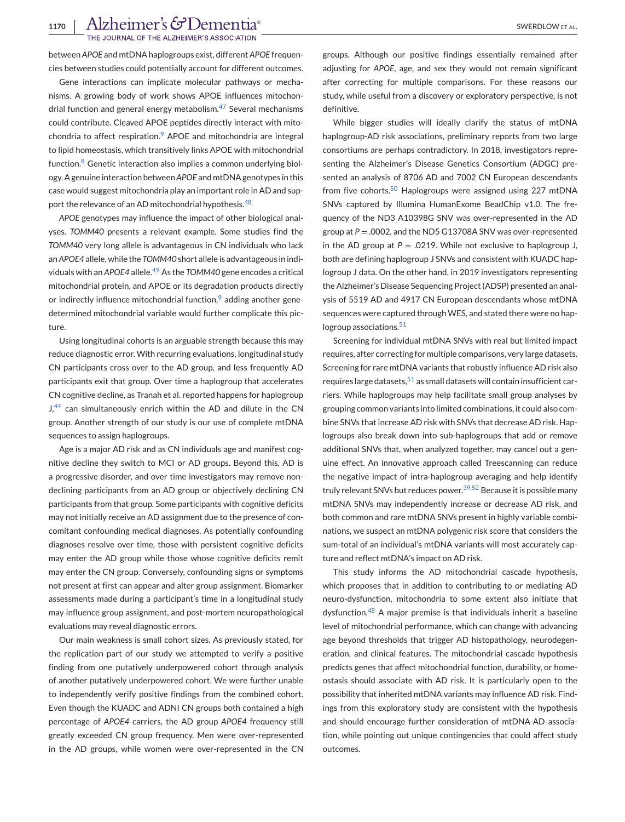THE JOURNAL OF THE ALZHEIMER'S ASSOCIATION

between *APOE* and mtDNA haplogroups exist, different *APOE* frequencies between studies could potentially account for different outcomes.

Gene interactions can implicate molecular pathways or mechanisms. A growing body of work shows APOE influences mitochondrial function and general energy metabolism.<sup>47</sup> Several mechanisms could contribute. Cleaved APOE peptides directly interact with mitochondria to affect respiration.<sup>9</sup> APOE and mitochondria are integral to lipid homeostasis, which transitively links APOE with mitochondrial function.<sup>8</sup> Genetic interaction also implies a common underlying biology. A genuine interaction between*APOE* and mtDNA genotypes in this case would suggest mitochondria play an important role in AD and support the relevance of an AD mitochondrial hypothesis.<sup>48</sup>

*APOE* genotypes may influence the impact of other biological analyses. *TOMM40* presents a relevant example. Some studies find the *TOMM40* very long allele is advantageous in CN individuals who lack an *APOE4* allele, while the *TOMM40* short allele is advantageous in individuals with an *APOE4* allele.<sup>49</sup> As the *TOMM40* gene encodes a critical mitochondrial protein, and APOE or its degradation products directly or indirectly influence mitochondrial function, $9$  adding another genedetermined mitochondrial variable would further complicate this picture.

Using longitudinal cohorts is an arguable strength because this may reduce diagnostic error. With recurring evaluations, longitudinal study CN participants cross over to the AD group, and less frequently AD participants exit that group. Over time a haplogroup that accelerates CN cognitive decline, as Tranah et al. reported happens for haplogroup J,<sup>44</sup> can simultaneously enrich within the AD and dilute in the CN group. Another strength of our study is our use of complete mtDNA sequences to assign haplogroups.

Age is a major AD risk and as CN individuals age and manifest cognitive decline they switch to MCI or AD groups. Beyond this, AD is a progressive disorder, and over time investigators may remove nondeclining participants from an AD group or objectively declining CN participants from that group. Some participants with cognitive deficits may not initially receive an AD assignment due to the presence of concomitant confounding medical diagnoses. As potentially confounding diagnoses resolve over time, those with persistent cognitive deficits may enter the AD group while those whose cognitive deficits remit may enter the CN group. Conversely, confounding signs or symptoms not present at first can appear and alter group assignment. Biomarker assessments made during a participant's time in a longitudinal study may influence group assignment, and post-mortem neuropathological evaluations may reveal diagnostic errors.

Our main weakness is small cohort sizes. As previously stated, for the replication part of our study we attempted to verify a positive finding from one putatively underpowered cohort through analysis of another putatively underpowered cohort. We were further unable to independently verify positive findings from the combined cohort. Even though the KUADC and ADNI CN groups both contained a high percentage of *APOE4* carriers, the AD group *APOE4* frequency still greatly exceeded CN group frequency. Men were over-represented in the AD groups, while women were over-represented in the CN

groups. Although our positive findings essentially remained after adjusting for *APOE*, age, and sex they would not remain significant after correcting for multiple comparisons. For these reasons our study, while useful from a discovery or exploratory perspective, is not definitive.

While bigger studies will ideally clarify the status of mtDNA haplogroup-AD risk associations, preliminary reports from two large consortiums are perhaps contradictory. In 2018, investigators representing the Alzheimer's Disease Genetics Consortium (ADGC) presented an analysis of 8706 AD and 7002 CN European descendants from five cohorts.<sup>50</sup> Haplogroups were assigned using 227 mtDNA SNVs captured by Illumina HumanExome BeadChip v1.0. The frequency of the ND3 A10398G SNV was over-represented in the AD group at *P* = .0002, and the ND5 G13708A SNV was over-represented in the AD group at  $P = .0219$ . While not exclusive to haplogroup J, both are defining haplogroup J SNVs and consistent with KUADC haplogroup J data. On the other hand, in 2019 investigators representing the Alzheimer's Disease Sequencing Project (ADSP) presented an analysis of 5519 AD and 4917 CN European descendants whose mtDNA sequences were captured through WES, and stated there were no haplogroup associations.<sup>51</sup>

Screening for individual mtDNA SNVs with real but limited impact requires, after correcting for multiple comparisons, very large datasets. Screening for rare mtDNA variants that robustly influence AD risk also requires large datasets,  $51$  as small datasets will contain insufficient carriers. While haplogroups may help facilitate small group analyses by grouping common variants into limited combinations, it could also combine SNVs that increase AD risk with SNVs that decrease AD risk. Haplogroups also break down into sub-haplogroups that add or remove additional SNVs that, when analyzed together, may cancel out a genuine effect. An innovative approach called Treescanning can reduce the negative impact of intra-haplogroup averaging and help identify truly relevant SNVs but reduces power.<sup>39,52</sup> Because it is possible many mtDNA SNVs may independently increase or decrease AD risk, and both common and rare mtDNA SNVs present in highly variable combinations, we suspect an mtDNA polygenic risk score that considers the sum-total of an individual's mtDNA variants will most accurately capture and reflect mtDNA's impact on AD risk.

This study informs the AD mitochondrial cascade hypothesis, which proposes that in addition to contributing to or mediating AD neuro-dysfunction, mitochondria to some extent also initiate that dysfunction.<sup>48</sup> A major premise is that individuals inherit a baseline level of mitochondrial performance, which can change with advancing age beyond thresholds that trigger AD histopathology, neurodegeneration, and clinical features. The mitochondrial cascade hypothesis predicts genes that affect mitochondrial function, durability, or homeostasis should associate with AD risk. It is particularly open to the possibility that inherited mtDNA variants may influence AD risk. Findings from this exploratory study are consistent with the hypothesis and should encourage further consideration of mtDNA-AD association, while pointing out unique contingencies that could affect study outcomes.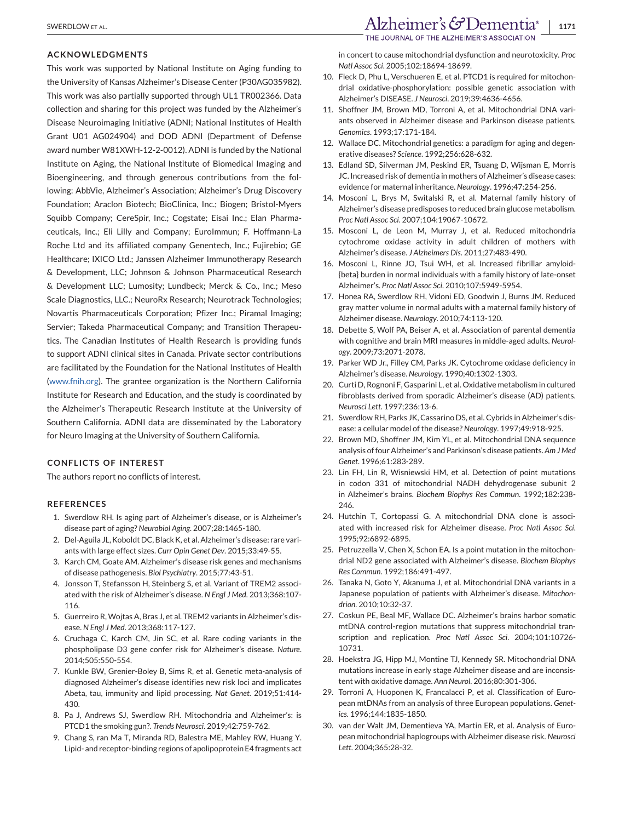#### **ACKNOWLEDGMENTS**

This work was supported by National Institute on Aging funding to the University of Kansas Alzheimer's Disease Center (P30AG035982). This work was also partially supported through UL1 TR002366. Data collection and sharing for this project was funded by the Alzheimer's Disease Neuroimaging Initiative (ADNI; National Institutes of Health Grant U01 AG024904) and DOD ADNI (Department of Defense award number W81XWH-12-2-0012). ADNI is funded by the National Institute on Aging, the National Institute of Biomedical Imaging and Bioengineering, and through generous contributions from the following: AbbVie, Alzheimer's Association; Alzheimer's Drug Discovery Foundation; Araclon Biotech; BioClinica, Inc.; Biogen; Bristol-Myers Squibb Company; CereSpir, Inc.; Cogstate; Eisai Inc.; Elan Pharmaceuticals, Inc.; Eli Lilly and Company; EuroImmun; F. Hoffmann-La Roche Ltd and its affiliated company Genentech, Inc.; Fujirebio; GE Healthcare; IXICO Ltd.; Janssen Alzheimer Immunotherapy Research & Development, LLC; Johnson & Johnson Pharmaceutical Research & Development LLC; Lumosity; Lundbeck; Merck & Co., Inc.; Meso Scale Diagnostics, LLC.; NeuroRx Research; Neurotrack Technologies; Novartis Pharmaceuticals Corporation; Pfizer Inc.; Piramal Imaging; Servier; Takeda Pharmaceutical Company; and Transition Therapeutics. The Canadian Institutes of Health Research is providing funds to support ADNI clinical sites in Canada. Private sector contributions are facilitated by the Foundation for the National Institutes of Health [\(www.fnih.org\)](http://www.fnih.org). The grantee organization is the Northern California Institute for Research and Education, and the study is coordinated by the Alzheimer's Therapeutic Research Institute at the University of Southern California. ADNI data are disseminated by the Laboratory for Neuro Imaging at the University of Southern California.

## **CONFLICTS OF INTEREST**

The authors report no conflicts of interest.

#### **REFERENCES**

- 1. Swerdlow RH. Is aging part of Alzheimer's disease, or is Alzheimer's disease part of aging? *Neurobiol Aging*. 2007;28:1465-180.
- 2. Del-Aguila JL, Koboldt DC, Black K, et al. Alzheimer's disease: rare variants with large effect sizes. *Curr Opin Genet Dev*. 2015;33:49-55.
- 3. Karch CM, Goate AM. Alzheimer's disease risk genes and mechanisms of disease pathogenesis. *Biol Psychiatry*. 2015;77:43-51.
- 4. Jonsson T, Stefansson H, Steinberg S, et al. Variant of TREM2 associated with the risk of Alzheimer's disease. *N Engl J Med*. 2013;368:107- 116.
- 5. Guerreiro R, Wojtas A, Bras J, et al. TREM2 variants in Alzheimer's disease. *N Engl J Med*. 2013;368:117-127.
- 6. Cruchaga C, Karch CM, Jin SC, et al. Rare coding variants in the phospholipase D3 gene confer risk for Alzheimer's disease. *Nature*. 2014;505:550-554.
- 7. Kunkle BW, Grenier-Boley B, Sims R, et al. Genetic meta-analysis of diagnosed Alzheimer's disease identifies new risk loci and implicates Abeta, tau, immunity and lipid processing. *Nat Genet*. 2019;51:414- 430.
- 8. Pa J, Andrews SJ, Swerdlow RH. Mitochondria and Alzheimer's: is PTCD1 the smoking gun?. *Trends Neurosci*. 2019;42:759-762.
- 9. Chang S, ran Ma T, Miranda RD, Balestra ME, Mahley RW, Huang Y. Lipid- and receptor-binding regions of apolipoprotein E4 fragments act

in concert to cause mitochondrial dysfunction and neurotoxicity. *Proc Natl Assoc Sci*. 2005;102:18694-18699.

- 10. Fleck D, Phu L, Verschueren E, et al. PTCD1 is required for mitochondrial oxidative-phosphorylation: possible genetic association with Alzheimer's DISEASE. *J Neurosci*. 2019;39:4636-4656.
- 11. Shoffner JM, Brown MD, Torroni A, et al. Mitochondrial DNA variants observed in Alzheimer disease and Parkinson disease patients. *Genomics*. 1993;17:171-184.
- 12. Wallace DC. Mitochondrial genetics: a paradigm for aging and degenerative diseases? *Science*. 1992;256:628-632.
- 13. Edland SD, Silverman JM, Peskind ER, Tsuang D, Wijsman E, Morris JC. Increased risk of dementia in mothers of Alzheimer's disease cases: evidence for maternal inheritance. *Neurology*. 1996;47:254-256.
- 14. Mosconi L, Brys M, Switalski R, et al. Maternal family history of Alzheimer's disease predisposes to reduced brain glucose metabolism. *Proc Natl Assoc Sci*. 2007;104:19067-10672.
- 15. Mosconi L, de Leon M, Murray J, et al. Reduced mitochondria cytochrome oxidase activity in adult children of mothers with Alzheimer's disease. *J Alzheimers Dis*. 2011;27:483-490.
- 16. Mosconi L, Rinne JO, Tsui WH, et al. Increased fibrillar amyloid- {beta} burden in normal individuals with a family history of late-onset Alzheimer's. *Proc Natl Assoc Sci*. 2010;107:5949-5954.
- 17. Honea RA, Swerdlow RH, Vidoni ED, Goodwin J, Burns JM. Reduced gray matter volume in normal adults with a maternal family history of Alzheimer disease. *Neurology*. 2010;74:113-120.
- 18. Debette S, Wolf PA, Beiser A, et al. Association of parental dementia with cognitive and brain MRI measures in middle-aged adults. *Neurology*. 2009;73:2071-2078.
- 19. Parker WD Jr., Filley CM, Parks JK. Cytochrome oxidase deficiency in Alzheimer's disease. *Neurology*. 1990;40:1302-1303.
- 20. Curti D, Rognoni F, Gasparini L, et al. Oxidative metabolism in cultured fibroblasts derived from sporadic Alzheimer's disease (AD) patients. *Neurosci Lett*. 1997;236:13-6.
- 21. Swerdlow RH, Parks JK, Cassarino DS, et al. Cybrids in Alzheimer's disease: a cellular model of the disease? *Neurology*. 1997;49:918-925.
- 22. Brown MD, Shoffner JM, Kim YL, et al. Mitochondrial DNA sequence analysis of four Alzheimer's and Parkinson's disease patients. *Am J Med Genet*. 1996;61:283-289.
- 23. Lin FH, Lin R, Wisniewski HM, et al. Detection of point mutations in codon 331 of mitochondrial NADH dehydrogenase subunit 2 in Alzheimer's brains. *Biochem Biophys Res Commun*. 1992;182:238- 246.
- 24. Hutchin T, Cortopassi G. A mitochondrial DNA clone is associated with increased risk for Alzheimer disease. *Proc Natl Assoc Sci*. 1995;92:6892-6895.
- 25. Petruzzella V, Chen X, Schon EA. Is a point mutation in the mitochondrial ND2 gene associated with Alzheimer's disease. *Biochem Biophys Res Commun*. 1992;186:491-497.
- 26. Tanaka N, Goto Y, Akanuma J, et al. Mitochondrial DNA variants in a Japanese population of patients with Alzheimer's disease. *Mitochondrion*. 2010;10:32-37.
- 27. Coskun PE, Beal MF, Wallace DC. Alzheimer's brains harbor somatic mtDNA control-region mutations that suppress mitochondrial transcription and replication. *Proc Natl Assoc Sci*. 2004;101:10726- 10731.
- 28. Hoekstra JG, Hipp MJ, Montine TJ, Kennedy SR. Mitochondrial DNA mutations increase in early stage Alzheimer disease and are inconsistent with oxidative damage. *Ann Neurol*. 2016;80:301-306.
- 29. Torroni A, Huoponen K, Francalacci P, et al. Classification of European mtDNAs from an analysis of three European populations. *Genetics*. 1996;144:1835-1850.
- 30. van der Walt JM, Dementieva YA, Martin ER, et al. Analysis of European mitochondrial haplogroups with Alzheimer disease risk. *Neurosci Lett*. 2004;365:28-32.